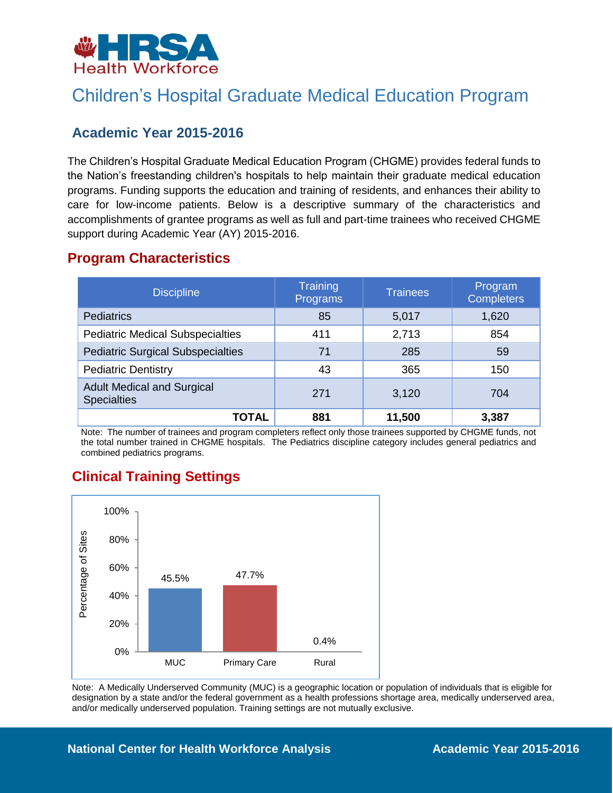

## Children's Hospital Graduate Medical Education Program

### **Academic Year 2015-2016**

The Children's Hospital Graduate Medical Education Program (CHGME) provides federal funds to the Nation's freestanding children's hospitals to help maintain their graduate medical education programs. Funding supports the education and training of residents, and enhances their ability to care for low-income patients. Below is a descriptive summary of the characteristics and accomplishments of grantee programs as well as full and part-time trainees who received CHGME support during Academic Year (AY) 2015-2016.

### **Program Characteristics**

| <b>Discipline</b>                                       | Training<br>Programs | <b>Trainees</b> | Program<br><b>Completers</b> |
|---------------------------------------------------------|----------------------|-----------------|------------------------------|
| <b>Pediatrics</b>                                       | 85                   | 5,017           | 1,620                        |
| <b>Pediatric Medical Subspecialties</b>                 | 411                  | 2,713           | 854                          |
| <b>Pediatric Surgical Subspecialties</b>                | 71                   | 285             | 59                           |
| <b>Pediatric Dentistry</b>                              | 43                   | 365             | 150                          |
| <b>Adult Medical and Surgical</b><br><b>Specialties</b> | 271                  | 3,120           | 704                          |
| TOTAL                                                   | 881                  | 11,500          | 3,387                        |

Note: The number of trainees and program completers reflect only those trainees supported by CHGME funds, not the total number trained in CHGME hospitals. The Pediatrics discipline category includes general pediatrics and combined pediatrics programs.

## **Clinical Training Settings**



Note: A Medically Underserved Community (MUC) is a geographic location or population of individuals that is eligible for designation by a state and/or the federal government as a health professions shortage area, medically underserved area, and/or medically underserved population. Training settings are not mutually exclusive.

#### **National Center for Health Workforce Analysis <b>Academic Year 2015-2016**